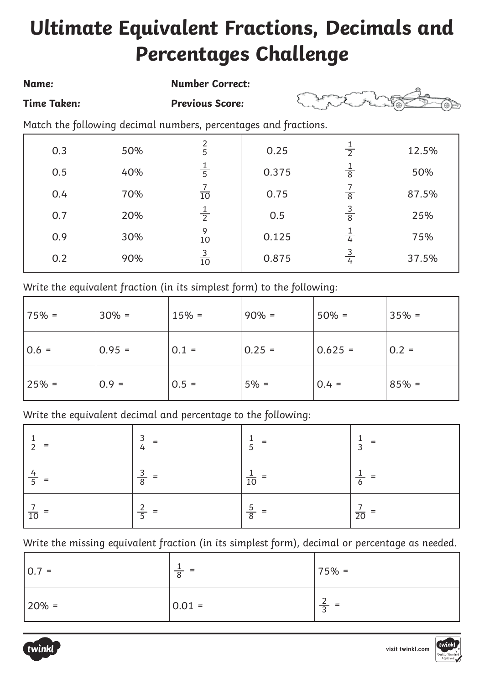## **Ultimate Equivalent Fractions, Decimals and Percentages Challenge**

## **Name: Number Correct: Time Taken: Previous Score:**  Match the following decimal numbers, percentages and fractions. 0.3 50% 2 5 1 0.25 1 2 1 12.5%

0.375

50%

87.5%

25%

75%

37.5%

0.75

0.5

0.125

0.875

|  |  |  | Write the equivalent fraction (in its simplest form) to the following: |  |
|--|--|--|------------------------------------------------------------------------|--|

| 75% =    | $30% =$  | $15% =$ | $90\% =$ | $50% =$   | $35% =$ |
|----------|----------|---------|----------|-----------|---------|
| $ 0.6 =$ | $0.95 =$ | $0.1 =$ | $0.25 =$ | $0.625 =$ | $0.2 =$ |
| $25% =$  | $0.9 =$  | $0.5 =$ | $5% =$   | $0.4 =$   | $85% =$ |

Write the equivalent decimal and percentage to the following:

| $\overline{2}$<br>$=$ | $\frac{3}{4}$<br>- = | =<br>$\overline{5}$ | =<br>$\overline{z}$ |
|-----------------------|----------------------|---------------------|---------------------|
| $\frac{4}{5}$ =       | $rac{3}{8}$          | $\overline{10}$     | 6                   |
| $rac{7}{10}$          | $\frac{2}{5}$        | $rac{5}{8}$<br>=    | $\frac{1}{20}$      |

Write the missing equivalent fraction (in its simplest form), decimal or percentage as needed.

| $ 0.7 =$   | = =<br>8 | $75% =$                                   |
|------------|----------|-------------------------------------------|
| $ 20\% $ = | $0.01 =$ | ∽<br>$=$<br>$\overline{\phantom{0}}$<br>~ |



0.5

40%

70%

20%

30%

90%

0.4

0.7

0.9

0.2